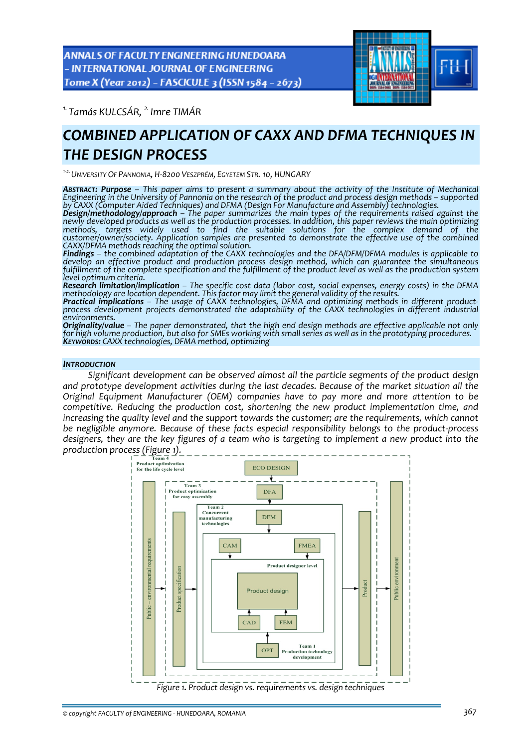**ANNALS OF FACULTY ENGINEERING HUNEDOARA** - INTERNATIONAL JOURNAL OF ENGINEERING Tome X (Year 2012) - FASCICULE 3 (ISSN 1584 - 2673)



*1. Tamás KULCSÁR, 2. Imre TIMÁR* 

# *COMBINED APPLICATION OF CAXX AND DFMA TECHNIQUES IN THE DESIGN PROCESS*

*<sup>1</sup>‐2.UNIVERSITY OF PANNONIA, H‐8200 VESZPRÉM, EGYETEM STR. 10, HUNGARY*

ABSTRACT: Purpose - This paper aims to present a summary about the activity of the Institute of Mechanical<br>Engineering in the University of Pannonia on the research of the product and process design methods - supported

by CAXX (Computer Aided Techniques) and DFMA (Design For Manufacture and Assembly) technologies.<br>**Design/methodology/approach** – The paper summarizes the main types of the requirements raised against the<br>newly developed pr newly developed products as well as the production processes. In addition, this paper reviews the main optimizing<br>methods, targets widely used to find the suitable solutions for the complex demand *customer/owner/society. Application samples are presented to demonstrate the effective use of the combined CAXX/DFMA methods reaching the optimal solution.*

*Findings – the combined adaptation of the CAXX technologies and the DFA/DFM/DFMA modules is applicable to develop an effective product and production process design method, which can guarantee the simultaneous* fulfillment of the complete specification and the fulfillment of the product level as well as the production system<br>level optimum criteria.

*Research limitation/implication – The specific cost data (labor cost, social expenses, energy costs) in the DFMA methodology are location dependent. This factor may limit the general validity of the results.*

process development projects demonstrated the adaptability of the CAXX technologies in different industrial

environments.<br>**Originality/value** – The paper demonstrated, that the high end design methods are effective applicable not only for high volume production, but also for SMEs working with small series as well as in the prototyping procedures.<br>Keyworps: CAXX technologies, DFMA method, optimizing

## *INTRODUCTION*

*Significant development can be observed almost all the particle segments of the product design and prototype development activities during the last decades. Because of the market situation all the Original Equipment Manufacturer (OEM) companies have to pay more and more attention to be competitive. Reducing the production cost, shortening the new product implementation time, and increasing the quality level and the support towards the customer; are the requirements, which cannot be negligible anymore. Because of these facts especial responsibility belongs to the product‐process* designers, they are the key figures of a team who is targeting to implement a new product into the

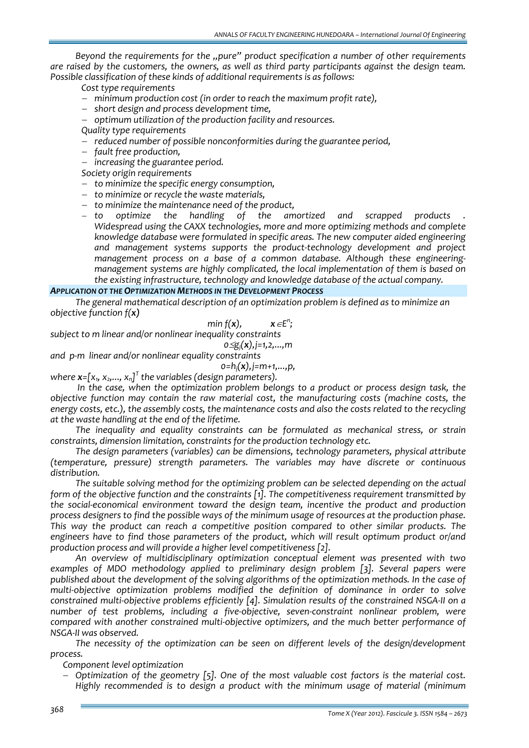*Beyond the requirements for the "pure" product specification a number of other requirements are raised by the customers, the owners, as well as third party participants against the design team. Possible classification of these kinds of additional requirements is as follows:* 

*Cost type requirements*

- − *minimum production cost (in order to reach the maximum profit rate),*
- − *short design and process development time,*
- − *optimum utilization of the production facility and resources.*
- *Quality type requirements*
- − *reduced number of possible nonconformities during the guarantee period,*
- − *fault free production,*
- − *increasing the guarantee period.*

*Society origin requirements*

- − *to minimize the specific energy consumption,*
- − *to minimize or recycle the waste materials,*
- 
- − *to minimize the maintenance need of the product,* − *to optimize the handling of the amortized and scrapped products . Widespread using the CAXX technologies, more and more optimizing methods and complete knowledge database were formulated in specific areas. The new computer aided engineering and management systems supports the product‐technology development and project management process on a base of a common database. Although these engineering‐ management systems are highly complicated, the local implementation of them is based on the existing infrastructure, technology and knowledge database of the actual company.*

*;*

## *APPLICATION OT THE OPTIMIZATION METHODS IN THE DEVELOPMENT PROCESS*

*The general mathematical description of an optimization problem is defined as to minimize an objective function f(x)*

$$
\min f(\mathbf{x}), \qquad \mathbf{x} \in \mathsf{E}^n
$$

*subject to m linear and/or nonlinear inequality constraints* 

$$
0 \leq g_j(x), j = 1, 2, ..., m
$$

*and p‐m linear and/or nonlinear equality constraints*

$$
o=h_j(\mathbf{x}), j=m+1,\ldots,p,
$$

 $\mathsf{where}\ \mathbf{x}\text{=}[\mathsf{x}_{\mathsf{1}},\ \mathsf{x}_{\mathsf{2}},\ldots,\ \mathsf{x}_{\mathsf{n}}]^{\mathsf{T}}$  the variables (design parameters).

*In the case, when the optimization problem belongs to a product or process design task, the objective function may contain the raw material cost, the manufacturing costs (machine costs, the* energy costs, etc.), the assembly costs, the maintenance costs and also the costs related to the recycling *at the waste handling at the end of the lifetime.* 

*The inequality and equality constraints can be formulated as mechanical stress, or strain constraints, dimension limitation, constraints for the production technology etc.*

*The design parameters (variables) can be dimensions, technology parameters, physical attribute (temperature, pressure) strength parameters. The variables may have discrete or continuous distribution.* 

*The suitable solving method for the optimizing problem can be selected depending on the actual form of the objective function and the constraints [1]. The competitiveness requirement transmitted by the social‐economical environment toward the design team, incentive the product and production process designers to find the possible ways of the minimum usage of resources at the production phase. This way the product can reach a competitive position compared to other similar products. The engineers have to find those parameters of the product, which will result optimum product or/and production process and will provide a higher level competitiveness [2].*

*An overview of multidisciplinary optimization conceptual element was presented with two examples of MDO methodology applied to preliminary design problem [3]. Several papers were published about the development of the solving algorithms of the optimization methods. In the case of multi‐objective optimization problems modified the definition of dominance in order to solve constrained multi‐objective problems efficiently [4]. Simulation results of the constrained NSGA‐II on a number of test problems, including a five‐objective, seven‐constraint nonlinear problem, were compared with another constrained multi‐objective optimizers, and the much better performance of NSGA‐II was observed.*

*The necessity of the optimization can be seen on different levels of the design/development process.* 

*Component level optimization*

− *Optimization of the geometry [5]. One of the most valuable cost factors is the material cost. Highly recommended is to design a product with the minimum usage of material (minimum*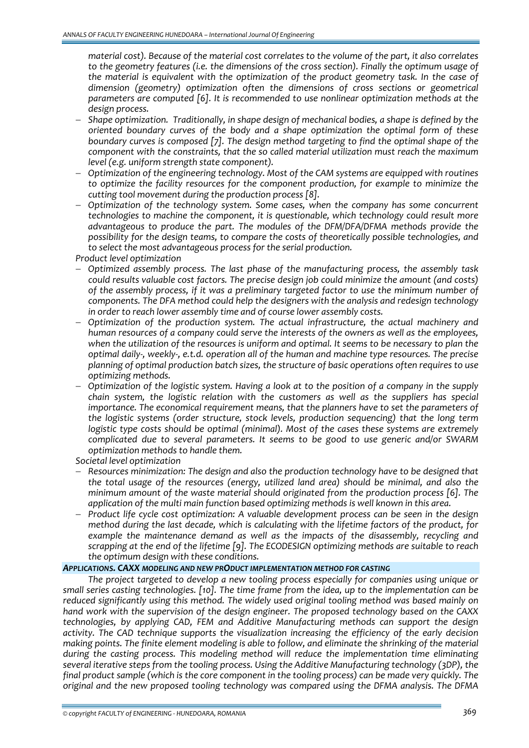*material cost). Because of the material cost correlates to the volume of the part, it also correlates to the geometry features (i.e. the dimensions of the cross section). Finally the optimum usage of the material is equivalent with the optimization of the product geometry task. In the case of dimension (geometry) optimization often the dimensions of cross sections or geometrical parameters are computed [6]. It is recommended to use nonlinear optimization methods at the design process.* 

- − *Shape optimization. Traditionally, in shape design of mechanical bodies, a shape is defined by the oriented boundary curves of the body and a shape optimization the optimal form of these boundary curves is composed [7]. The design method targeting to find the optimal shape of the component with the constraints, that the so called material utilization must reach the maximum level (e.g. uniform strength state component).*
- − *Optimization of the engineering technology. Most of the CAM systems are equipped with routines to optimize the facility resources for the component production, for example to minimize the cutting tool movement during the production process [8].*
- − *Optimization of the technology system. Some cases, when the company has some concurrent technologies to machine the component, it is questionable, which technology could result more advantageous to produce the part. The modules of the DFM/DFA/DFMA methods provide the possibility for the design teams, to compare the costs of theoretically possible technologies, and to select the most advantageous process for the serial production.*

*Product level optimization*

- − *Optimized assembly process. The last phase of the manufacturing process, the assembly task could results valuable cost factors. The precise design job could minimize the amount (and costs) of the assembly process, if it was a preliminary targeted factor to use the minimum number of components. The DFA method could help the designers with the analysis and redesign technology in order to reach lower assembly time and of course lower assembly costs.*
- − *Optimization of the production system. The actual infrastructure, the actual machinery and human resources of a company could serve the interests of the owners as well as the employees, when the utilization of the resources is uniform and optimal. It seems to be necessary to plan the* optimal daily-, weekly-, e.t.d. operation all of the human and machine type resources. The precise *planning of optimal production batch sizes, the structure of basic operations often requires to use optimizing methods.*
- − *Optimization of the logistic system. Having a look at to the position of a company in the supply chain system, the logistic relation with the customers as well as the suppliers has special importance. The economical requirement means, that the planners have to set the parameters of the logistic systems (order structure, stock levels, production sequencing) that the long term logistic type costs should be optimal (minimal). Most of the cases these systems are extremely complicated due to several parameters. It seems to be good to use generic and/or SWARM optimization methods to handle them.*

*Societal level optimization*

- − *Resources minimization: The design and also the production technology have to be designed that the total usage of the resources (energy, utilized land area) should be minimal, and also the minimum amount of the waste material should originated from the production process [6]. The application of the multi main function based optimizing methods is well known in this area.*
- − *Product life cycle cost optimization: A valuable development process can be seen in the design method during the last decade, which is calculating with the lifetime factors of the product, for example the maintenance demand as well as the impacts of the disassembly, recycling and scrapping at the end of the lifetime [9]. The ECODESIGN optimizing methods are suitable to reach the optimum design with these conditions.*

## *APPLICATIONS. CAXX MODELING AND NEW PRODUCT IMPLEMENTATION METHOD FOR CASTING*

*The project targeted to develop a new tooling process especially for companies using unique or small series casting technologies. [10]. The time frame from the idea, up to the implementation can be reduced significantly using this method. The widely used original tooling method was based mainly on hand work with the supervision of the design engineer. The proposed technology based on the CAXX technologies, by applying CAD, FEM and Additive Manufacturing methods can support the design activity. The CAD technique supports the visualization increasing the efficiency of the early decision making points. The finite element modeling is able to follow, and eliminate the shrinking of the material during the casting process. This modeling method will reduce the implementation time eliminating several iterative steps from the tooling process. Using the Additive Manufacturing technology (3DP), the* final product sample (which is the core component in the tooling process) can be made very quickly. The *original and the new proposed tooling technology was compared using the DFMA analysis. The DFMA*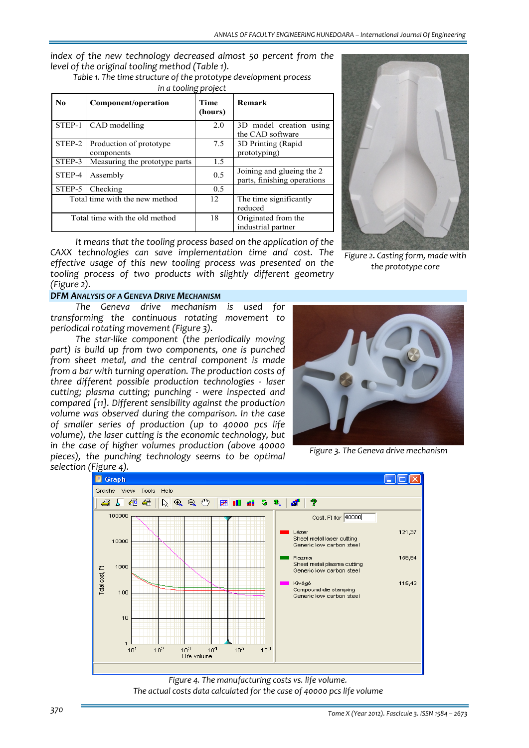*index of the new technology decreased almost 50 percent from the level of the original tooling method (Table 1).* 

*Table 1. The time structure of the prototype development process* 

| N <sub>0</sub>                 | Component/operation                   | <b>Time</b><br>(hours) | Remark                                                   |  |
|--------------------------------|---------------------------------------|------------------------|----------------------------------------------------------|--|
| STEP-1                         | CAD modelling                         | 2.0                    | 3D model creation using<br>the CAD software              |  |
| STEP-2                         | Production of prototype<br>components | 7.5                    | 3D Printing (Rapid<br>prototyping)                       |  |
| STEP-3                         | Measuring the prototype parts         | 1.5                    |                                                          |  |
| STEP-4                         | Assembly                              | 0.5                    | Joining and glueing the 2<br>parts, finishing operations |  |
| STEP-5                         | Checking                              | 0.5                    |                                                          |  |
| Total time with the new method |                                       | 12                     | The time significantly<br>reduced                        |  |
| Total time with the old method |                                       | 18                     | Originated from the<br>industrial partner                |  |

*It means that the tooling process based on the application of the CAXX technologies can save implementation time and cost. The effective usage of this new tooling process was presented on the tooling process of two products with slightly different geometry (Figure 2).*

# *DFM ANALYSIS OF A GENEVA DRIVE MECHANISM*

*The Geneva drive mechanism is used for transforming the continuous rotating movement to periodical rotating movement (Figure 3).* 

*The star‐like component (the periodically moving part) is build up from two components, one is punched from sheet metal, and the central component is made from a bar with turning operation. The production costs of three different possible production technologies ‐ laser cutting; plasma cutting; punching ‐ were inspected and compared [11]. Different sensibility against the production volume was observed during the comparison. In the case of smaller series of production (up to 40000 pcs life volume), the laser cutting is the economic technology, but in the case of higher volumes production (above 40000 pieces), the punching technology seems to be optimal selection (Figure 4).*



*Figure 2. Casting form, made with the prototype core*



*Figure 3. The Geneva drive mechanism*



*Figure 4. The manufacturing costs vs. life volume. The actual costs data calculated for the case of 40000 pcs life volume*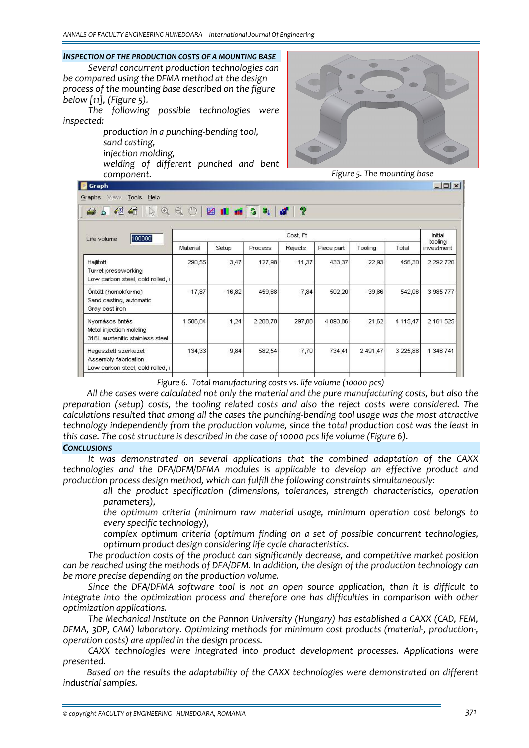#### *INSPECTION OF THE PRODUCTION COSTS OF A MOUNTING BASE*

*Several concurrent production technologies can be compared using the DFMA method at the design process of the mounting base described on the figure below [11], (Figure 5).*

*The following possible technologies were inspected:* 

> *production in a punching‐bending tool, sand casting, injection molding, welding of different punched and bent*

*component.*



*Figure 5. The mounting base*

| $  D $ $\times$<br>Graph                                                         |             |                     |                                                               |                       |            |          |               |                       |  |  |
|----------------------------------------------------------------------------------|-------------|---------------------|---------------------------------------------------------------|-----------------------|------------|----------|---------------|-----------------------|--|--|
| Tools Help<br>View<br>Graphs                                                     |             |                     |                                                               |                       |            |          |               |                       |  |  |
| 信气<br>8<br>$^{\circledR}$<br>R.<br>$\mathbf{b}$                                  | ₾<br>Q      | 圏<br><b>All all</b> | $\begin{pmatrix} 0 \\ 0 \\ 0 \end{pmatrix}$<br>3 <sub>1</sub> | $\boldsymbol{r}$<br>đ |            |          |               |                       |  |  |
| 100000<br>Life volume                                                            | Cost, Ft    |                     |                                                               |                       |            |          |               |                       |  |  |
|                                                                                  | Material    | Setup               | Process                                                       | Rejects               | Piece part | Tooling  | Total         | tooling<br>investment |  |  |
| Hajlitott<br>Turret pressworking<br>Low carbon steel, cold rolled, a             | 290,55      | 3,47                | 127,98                                                        | 11,37                 | 433,37     | 22,93    | 456,30        | 2 2 9 2 7 2 0         |  |  |
| Öntött (homokforma)<br>Sand casting, automatic<br>Gray cast iron                 | 17,87       | 16,82               | 459,68                                                        | 7,84                  | 502,20     | 39,86    | 542,06        | 3 985 777             |  |  |
| Nyomásos öntés<br>Metal injection molding<br>316L austenitic stainless steel     | 586,04<br>1 | 1,24                | 2 208,70                                                      | 297,88                | 4 093,86   | 21,62    | 4 115,47      | 2 161 525             |  |  |
| Hegesztett szerkezet<br>Assembly fabrication<br>Low carbon steel, cold rolled, a | 134,33      | 9,84                | 582,54                                                        | 7,70                  | 734,41     | 2 491,47 | 3 2 2 5 , 8 8 | 1 346 741             |  |  |

*Figure 6. Total manufacturing costs vs. life volume (10000 pcs)*

*All the cases were calculated not only the material and the pure manufacturing costs, but also the preparation (setup) costs, the tooling related costs and also the reject costs were considered. The calculations resulted that among all the cases the punching‐bending tool usage was the most attractive technology independently from the production volume, since the total production cost was the least in this case. The cost structure is described in the case of 10000 pcs life volume (Figure 6).*

# *CONCLUSIONS*

*It was demonstrated on several applications that the combined adaptation of the CAXX technologies and the DFA/DFM/DFMA modules is applicable to develop an effective product and production process design method, which can fulfill the following constraints simultaneously:*

 *all the product specification (dimensions, tolerances, strength characteristics, operation parameters),*

 *the optimum criteria (minimum raw material usage, minimum operation cost belongs to every specific technology),*

 *complex optimum criteria (optimum finding on a set of possible concurrent technologies, optimum product design considering life cycle characteristics.* 

*The production costs of the product can significantly decrease, and competitive market position can be reached using the methods of DFA/DFM. In addition, the design of the production technology can be more precise depending on the production volume.*

*Since the DFA/DFMA software tool is not an open source application, than it is difficult to integrate into the optimization process and therefore one has difficulties in comparison with other optimization applications.*

*The Mechanical Institute on the Pannon University (Hungary) has established a CAXX (CAD, FEM, DFMA, 3DP, CAM) laboratory. Optimizing methods for minimum cost products (material‐, production‐, operation costs) are applied in the design process.*

*CAXX technologies were integrated into product development processes. Applications were presented.* 

*Based on the results the adaptability of the CAXX technologies were demonstrated on different industrial samples.*